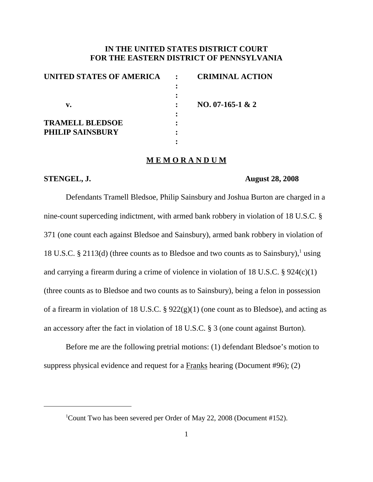# **IN THE UNITED STATES DISTRICT COURT FOR THE EASTERN DISTRICT OF PENNSYLVANIA**

| UNITED STATES OF AMERICA | <b>CRIMINAL ACTION</b> |
|--------------------------|------------------------|
|                          |                        |
|                          |                        |
| v.                       | NO. 07-165-1 & 2       |
|                          |                        |
| <b>TRAMELL BLEDSOE</b>   |                        |
| <b>PHILIP SAINSBURY</b>  |                        |
|                          |                        |

# **M E M O R A N D U M**

## **STENGEL, J. August 28, 2008**

Defendants Tramell Bledsoe, Philip Sainsbury and Joshua Burton are charged in a nine-count superceding indictment, with armed bank robbery in violation of 18 U.S.C. § 371 (one count each against Bledsoe and Sainsbury), armed bank robbery in violation of 18 U.S.C. § 2113(d) (three counts as to Bledsoe and two counts as to Sainsbury), <sup>1</sup> using and carrying a firearm during a crime of violence in violation of 18 U.S.C. § 924(c)(1) (three counts as to Bledsoe and two counts as to Sainsbury), being a felon in possession of a firearm in violation of 18 U.S.C. §  $922(g)(1)$  (one count as to Bledsoe), and acting as an accessory after the fact in violation of 18 U.S.C. § 3 (one count against Burton).

Before me are the following pretrial motions: (1) defendant Bledsoe's motion to suppress physical evidence and request for a Franks hearing (Document #96); (2)

<sup>&</sup>lt;sup>1</sup>Count Two has been severed per Order of May 22, 2008 (Document #152).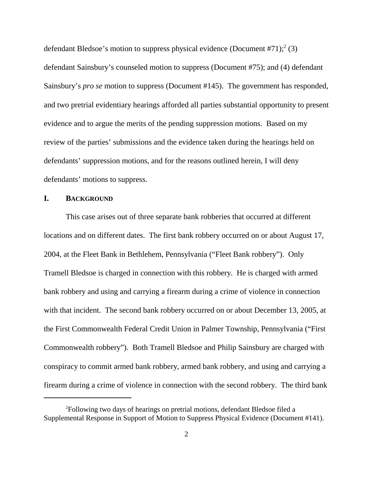defendant Bledsoe's motion to suppress physical evidence (Document #71); <sup>2</sup> (3) defendant Sainsbury's counseled motion to suppress (Document #75); and (4) defendant Sainsbury's *pro se* motion to suppress (Document #145). The government has responded, and two pretrial evidentiary hearings afforded all parties substantial opportunity to present evidence and to argue the merits of the pending suppression motions. Based on my review of the parties' submissions and the evidence taken during the hearings held on defendants' suppression motions, and for the reasons outlined herein, I will deny defendants' motions to suppress.

## **I. BACKGROUND**

This case arises out of three separate bank robberies that occurred at different locations and on different dates. The first bank robbery occurred on or about August 17, 2004, at the Fleet Bank in Bethlehem, Pennsylvania ("Fleet Bank robbery"). Only Tramell Bledsoe is charged in connection with this robbery. He is charged with armed bank robbery and using and carrying a firearm during a crime of violence in connection with that incident. The second bank robbery occurred on or about December 13, 2005, at the First Commonwealth Federal Credit Union in Palmer Township, Pennsylvania ("First Commonwealth robbery"). Both Tramell Bledsoe and Philip Sainsbury are charged with conspiracy to commit armed bank robbery, armed bank robbery, and using and carrying a firearm during a crime of violence in connection with the second robbery. The third bank

<sup>&</sup>lt;sup>2</sup>Following two days of hearings on pretrial motions, defendant Bledsoe filed a Supplemental Response in Support of Motion to Suppress Physical Evidence (Document #141).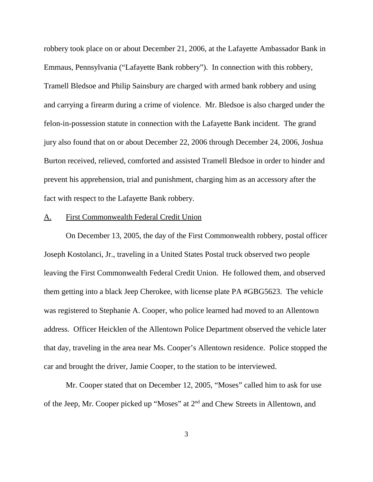robbery took place on or about December 21, 2006, at the Lafayette Ambassador Bank in Emmaus, Pennsylvania ("Lafayette Bank robbery"). In connection with this robbery, Tramell Bledsoe and Philip Sainsbury are charged with armed bank robbery and using and carrying a firearm during a crime of violence. Mr. Bledsoe is also charged under the felon-in-possession statute in connection with the Lafayette Bank incident. The grand jury also found that on or about December 22, 2006 through December 24, 2006, Joshua Burton received, relieved, comforted and assisted Tramell Bledsoe in order to hinder and prevent his apprehension, trial and punishment, charging him as an accessory after the fact with respect to the Lafayette Bank robbery.

#### A. First Commonwealth Federal Credit Union

On December 13, 2005, the day of the First Commonwealth robbery, postal officer Joseph Kostolanci, Jr., traveling in a United States Postal truck observed two people leaving the First Commonwealth Federal Credit Union. He followed them, and observed them getting into a black Jeep Cherokee, with license plate PA #GBG5623. The vehicle was registered to Stephanie A. Cooper, who police learned had moved to an Allentown address. Officer Heicklen of the Allentown Police Department observed the vehicle later that day, traveling in the area near Ms. Cooper's Allentown residence. Police stopped the car and brought the driver, Jamie Cooper, to the station to be interviewed.

Mr. Cooper stated that on December 12, 2005, "Moses" called him to ask for use of the Jeep, Mr. Cooper picked up "Moses" at 2nd and Chew Streets in Allentown, and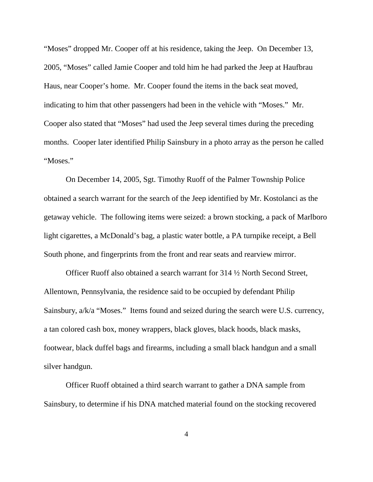"Moses" dropped Mr. Cooper off at his residence, taking the Jeep. On December 13, 2005, "Moses" called Jamie Cooper and told him he had parked the Jeep at Haufbrau Haus, near Cooper's home. Mr. Cooper found the items in the back seat moved, indicating to him that other passengers had been in the vehicle with "Moses." Mr. Cooper also stated that "Moses" had used the Jeep several times during the preceding months. Cooper later identified Philip Sainsbury in a photo array as the person he called "Moses."

On December 14, 2005, Sgt. Timothy Ruoff of the Palmer Township Police obtained a search warrant for the search of the Jeep identified by Mr. Kostolanci as the getaway vehicle. The following items were seized: a brown stocking, a pack of Marlboro light cigarettes, a McDonald's bag, a plastic water bottle, a PA turnpike receipt, a Bell South phone, and fingerprints from the front and rear seats and rearview mirror.

Officer Ruoff also obtained a search warrant for 314 ½ North Second Street, Allentown, Pennsylvania, the residence said to be occupied by defendant Philip Sainsbury, a/k/a "Moses." Items found and seized during the search were U.S. currency, a tan colored cash box, money wrappers, black gloves, black hoods, black masks, footwear, black duffel bags and firearms, including a small black handgun and a small silver handgun.

Officer Ruoff obtained a third search warrant to gather a DNA sample from Sainsbury, to determine if his DNA matched material found on the stocking recovered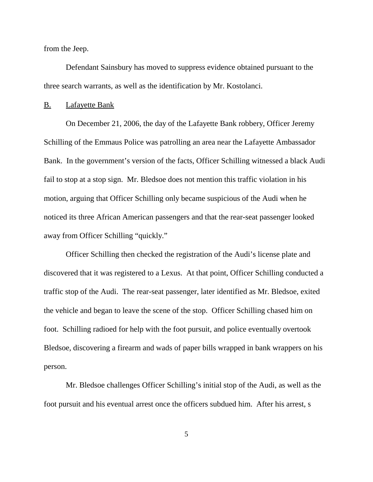from the Jeep.

Defendant Sainsbury has moved to suppress evidence obtained pursuant to the three search warrants, as well as the identification by Mr. Kostolanci.

### B. Lafayette Bank

On December 21, 2006, the day of the Lafayette Bank robbery, Officer Jeremy Schilling of the Emmaus Police was patrolling an area near the Lafayette Ambassador Bank. In the government's version of the facts, Officer Schilling witnessed a black Audi fail to stop at a stop sign. Mr. Bledsoe does not mention this traffic violation in his motion, arguing that Officer Schilling only became suspicious of the Audi when he noticed its three African American passengers and that the rear-seat passenger looked away from Officer Schilling "quickly."

Officer Schilling then checked the registration of the Audi's license plate and discovered that it was registered to a Lexus. At that point, Officer Schilling conducted a traffic stop of the Audi. The rear-seat passenger, later identified as Mr. Bledsoe, exited the vehicle and began to leave the scene of the stop. Officer Schilling chased him on foot. Schilling radioed for help with the foot pursuit, and police eventually overtook Bledsoe, discovering a firearm and wads of paper bills wrapped in bank wrappers on his person.

Mr. Bledsoe challenges Officer Schilling's initial stop of the Audi, as well as the foot pursuit and his eventual arrest once the officers subdued him. After his arrest, s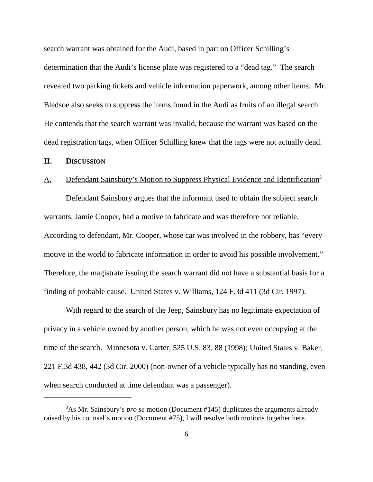search warrant was obtained for the Audi, based in part on Officer Schilling's determination that the Audi's license plate was registered to a "dead tag." The search revealed two parking tickets and vehicle information paperwork, among other items. Mr. Bledsoe also seeks to suppress the items found in the Audi as fruits of an illegal search. He contends that the search warrant was invalid, because the warrant was based on the dead registration tags, when Officer Schilling knew that the tags were not actually dead.

# **II. DISCUSSION**

## A. Defendant Sainsbury's Motion to Suppress Physical Evidence and Identification<sup>3</sup>

Defendant Sainsbury argues that the informant used to obtain the subject search warrants, Jamie Cooper, had a motive to fabricate and was therefore not reliable. According to defendant, Mr. Cooper, whose car was involved in the robbery, has "every motive in the world to fabricate information in order to avoid his possible involvement." Therefore, the magistrate issuing the search warrant did not have a substantial basis for a finding of probable cause. United States v. Williams, 124 F.3d 411 (3d Cir. 1997).

With regard to the search of the Jeep, Sainsbury has no legitimate expectation of privacy in a vehicle owned by another person, which he was not even occupying at the time of the search. Minnesota v. Carter, 525 U.S. 83, 88 (1998); United States v. Baker, 221 F.3d 438, 442 (3d Cir. 2000) (non-owner of a vehicle typically has no standing, even when search conducted at time defendant was a passenger).

<sup>3</sup> As Mr. Sainsbury's *pro se* motion (Document #145) duplicates the arguments already raised by his counsel's motion (Document #75), I will resolve both motions together here.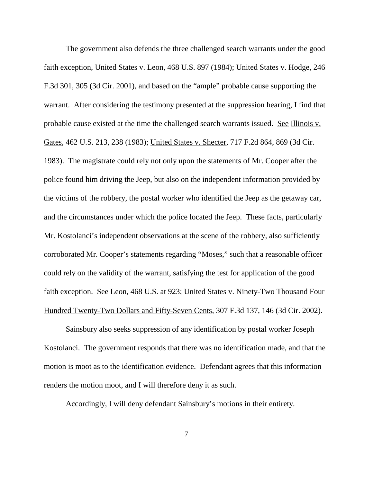The government also defends the three challenged search warrants under the good faith exception, United States v. Leon, 468 U.S. 897 (1984); United States v. Hodge, 246 F.3d 301, 305 (3d Cir. 2001), and based on the "ample" probable cause supporting the warrant. After considering the testimony presented at the suppression hearing, I find that probable cause existed at the time the challenged search warrants issued. See Illinois v. Gates, 462 U.S. 213, 238 (1983); United States v. Shecter, 717 F.2d 864, 869 (3d Cir. 1983). The magistrate could rely not only upon the statements of Mr. Cooper after the police found him driving the Jeep, but also on the independent information provided by the victims of the robbery, the postal worker who identified the Jeep as the getaway car, and the circumstances under which the police located the Jeep. These facts, particularly Mr. Kostolanci's independent observations at the scene of the robbery, also sufficiently corroborated Mr. Cooper's statements regarding "Moses," such that a reasonable officer could rely on the validity of the warrant, satisfying the test for application of the good faith exception. See Leon, 468 U.S. at 923; United States v. Ninety-Two Thousand Four Hundred Twenty-Two Dollars and Fifty-Seven Cents, 307 F.3d 137, 146 (3d Cir. 2002).

Sainsbury also seeks suppression of any identification by postal worker Joseph Kostolanci. The government responds that there was no identification made, and that the motion is moot as to the identification evidence. Defendant agrees that this information renders the motion moot, and I will therefore deny it as such.

Accordingly, I will deny defendant Sainsbury's motions in their entirety.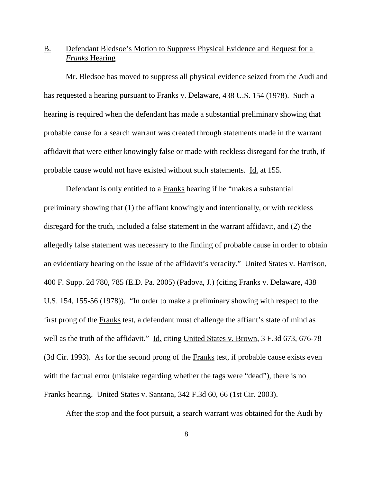# B. Defendant Bledsoe's Motion to Suppress Physical Evidence and Request for a *Franks* Hearing

Mr. Bledsoe has moved to suppress all physical evidence seized from the Audi and has requested a hearing pursuant to Franks v. Delaware, 438 U.S. 154 (1978). Such a hearing is required when the defendant has made a substantial preliminary showing that probable cause for a search warrant was created through statements made in the warrant affidavit that were either knowingly false or made with reckless disregard for the truth, if probable cause would not have existed without such statements. Id. at 155.

Defendant is only entitled to a Franks hearing if he "makes a substantial preliminary showing that (1) the affiant knowingly and intentionally, or with reckless disregard for the truth, included a false statement in the warrant affidavit, and (2) the allegedly false statement was necessary to the finding of probable cause in order to obtain an evidentiary hearing on the issue of the affidavit's veracity." United States v. Harrison, 400 F. Supp. 2d 780, 785 (E.D. Pa. 2005) (Padova, J.) (citing Franks v. Delaware, 438 U.S. 154, 155-56 (1978)). "In order to make a preliminary showing with respect to the first prong of the Franks test, a defendant must challenge the affiant's state of mind as well as the truth of the affidavit." Id. citing United States v. Brown, 3 F.3d 673, 676-78 (3d Cir. 1993). As for the second prong of the Franks test, if probable cause exists even with the factual error (mistake regarding whether the tags were "dead"), there is no Franks hearing. United States v. Santana, 342 F.3d 60, 66 (1st Cir. 2003).

After the stop and the foot pursuit, a search warrant was obtained for the Audi by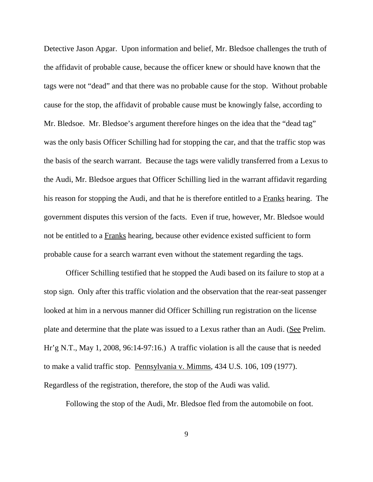Detective Jason Apgar. Upon information and belief, Mr. Bledsoe challenges the truth of the affidavit of probable cause, because the officer knew or should have known that the tags were not "dead" and that there was no probable cause for the stop. Without probable cause for the stop, the affidavit of probable cause must be knowingly false, according to Mr. Bledsoe. Mr. Bledsoe's argument therefore hinges on the idea that the "dead tag" was the only basis Officer Schilling had for stopping the car, and that the traffic stop was the basis of the search warrant. Because the tags were validly transferred from a Lexus to the Audi, Mr. Bledsoe argues that Officer Schilling lied in the warrant affidavit regarding his reason for stopping the Audi, and that he is therefore entitled to a Franks hearing. The government disputes this version of the facts. Even if true, however, Mr. Bledsoe would not be entitled to a Franks hearing, because other evidence existed sufficient to form probable cause for a search warrant even without the statement regarding the tags.

Officer Schilling testified that he stopped the Audi based on its failure to stop at a stop sign. Only after this traffic violation and the observation that the rear-seat passenger looked at him in a nervous manner did Officer Schilling run registration on the license plate and determine that the plate was issued to a Lexus rather than an Audi. (See Prelim. Hr'g N.T., May 1, 2008, 96:14-97:16.) A traffic violation is all the cause that is needed to make a valid traffic stop. Pennsylvania v. Mimms, 434 U.S. 106, 109 (1977). Regardless of the registration, therefore, the stop of the Audi was valid.

Following the stop of the Audi, Mr. Bledsoe fled from the automobile on foot.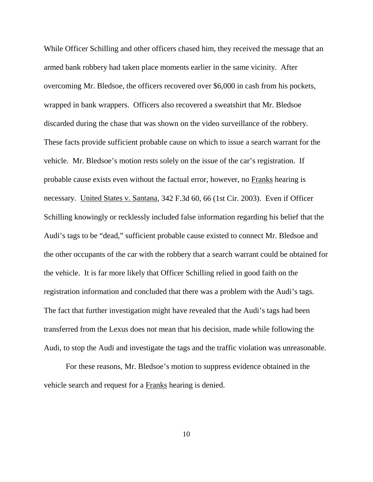While Officer Schilling and other officers chased him, they received the message that an armed bank robbery had taken place moments earlier in the same vicinity. After overcoming Mr. Bledsoe, the officers recovered over \$6,000 in cash from his pockets, wrapped in bank wrappers. Officers also recovered a sweatshirt that Mr. Bledsoe discarded during the chase that was shown on the video surveillance of the robbery. These facts provide sufficient probable cause on which to issue a search warrant for the vehicle. Mr. Bledsoe's motion rests solely on the issue of the car's registration. If probable cause exists even without the factual error, however, no Franks hearing is necessary. United States v. Santana, 342 F.3d 60, 66 (1st Cir. 2003). Even if Officer Schilling knowingly or recklessly included false information regarding his belief that the Audi's tags to be "dead," sufficient probable cause existed to connect Mr. Bledsoe and the other occupants of the car with the robbery that a search warrant could be obtained for the vehicle. It is far more likely that Officer Schilling relied in good faith on the registration information and concluded that there was a problem with the Audi's tags. The fact that further investigation might have revealed that the Audi's tags had been transferred from the Lexus does not mean that his decision, made while following the Audi, to stop the Audi and investigate the tags and the traffic violation was unreasonable.

For these reasons, Mr. Bledsoe's motion to suppress evidence obtained in the vehicle search and request for a Franks hearing is denied.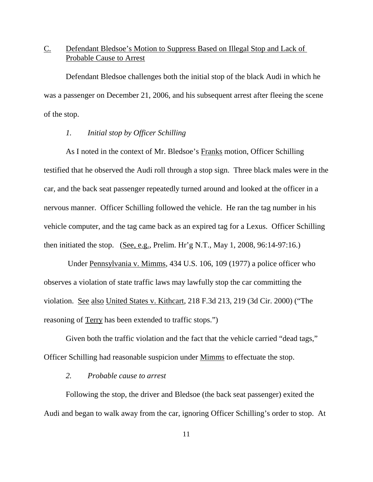# C. Defendant Bledsoe's Motion to Suppress Based on Illegal Stop and Lack of Probable Cause to Arrest

Defendant Bledsoe challenges both the initial stop of the black Audi in which he was a passenger on December 21, 2006, and his subsequent arrest after fleeing the scene of the stop.

## *1. Initial stop by Officer Schilling*

As I noted in the context of Mr. Bledsoe's Franks motion, Officer Schilling testified that he observed the Audi roll through a stop sign. Three black males were in the car, and the back seat passenger repeatedly turned around and looked at the officer in a nervous manner. Officer Schilling followed the vehicle. He ran the tag number in his vehicle computer, and the tag came back as an expired tag for a Lexus. Officer Schilling then initiated the stop. (See, e.g., Prelim. Hr'g N.T., May 1, 2008, 96:14-97:16.)

Under Pennsylvania v. Mimms, 434 U.S. 106, 109 (1977) a police officer who observes a violation of state traffic laws may lawfully stop the car committing the violation. See also United States v. Kithcart, 218 F.3d 213, 219 (3d Cir. 2000) ("The reasoning of Terry has been extended to traffic stops.")

Given both the traffic violation and the fact that the vehicle carried "dead tags," Officer Schilling had reasonable suspicion under Mimms to effectuate the stop.

## *2. Probable cause to arrest*

Following the stop, the driver and Bledsoe (the back seat passenger) exited the Audi and began to walk away from the car, ignoring Officer Schilling's order to stop. At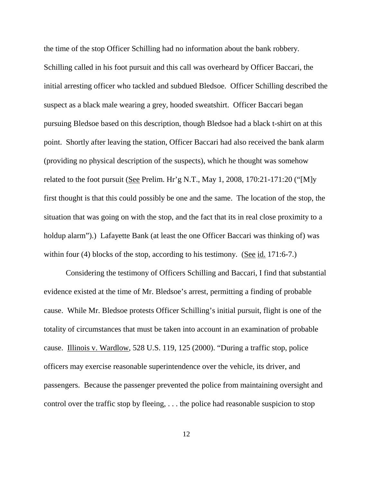the time of the stop Officer Schilling had no information about the bank robbery. Schilling called in his foot pursuit and this call was overheard by Officer Baccari, the initial arresting officer who tackled and subdued Bledsoe. Officer Schilling described the suspect as a black male wearing a grey, hooded sweatshirt. Officer Baccari began pursuing Bledsoe based on this description, though Bledsoe had a black t-shirt on at this point. Shortly after leaving the station, Officer Baccari had also received the bank alarm (providing no physical description of the suspects), which he thought was somehow related to the foot pursuit (See Prelim. Hr'g N.T., May 1, 2008, 170:21-171:20 ("[M]y first thought is that this could possibly be one and the same. The location of the stop, the situation that was going on with the stop, and the fact that its in real close proximity to a holdup alarm").) Lafayette Bank (at least the one Officer Baccari was thinking of) was within four (4) blocks of the stop, according to his testimony. (See id. 171:6-7.)

Considering the testimony of Officers Schilling and Baccari, I find that substantial evidence existed at the time of Mr. Bledsoe's arrest, permitting a finding of probable cause. While Mr. Bledsoe protests Officer Schilling's initial pursuit, flight is one of the totality of circumstances that must be taken into account in an examination of probable cause. Illinois v. Wardlow, 528 U.S. 119, 125 (2000). "During a traffic stop, police officers may exercise reasonable superintendence over the vehicle, its driver, and passengers. Because the passenger prevented the police from maintaining oversight and control over the traffic stop by fleeing, . . . the police had reasonable suspicion to stop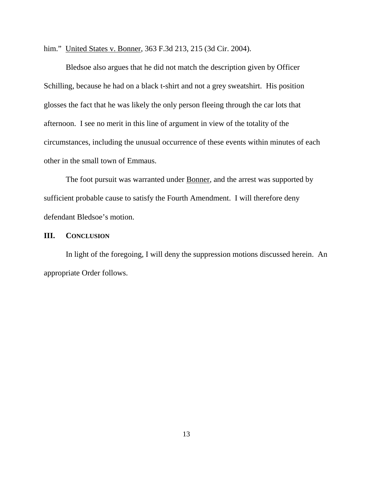him." United States v. Bonner, 363 F.3d 213, 215 (3d Cir. 2004).

Bledsoe also argues that he did not match the description given by Officer Schilling, because he had on a black t-shirt and not a grey sweatshirt. His position glosses the fact that he was likely the only person fleeing through the car lots that afternoon. I see no merit in this line of argument in view of the totality of the circumstances, including the unusual occurrence of these events within minutes of each other in the small town of Emmaus.

The foot pursuit was warranted under **Bonner**, and the arrest was supported by sufficient probable cause to satisfy the Fourth Amendment. I will therefore deny defendant Bledsoe's motion.

## **III. CONCLUSION**

In light of the foregoing, I will deny the suppression motions discussed herein. An appropriate Order follows.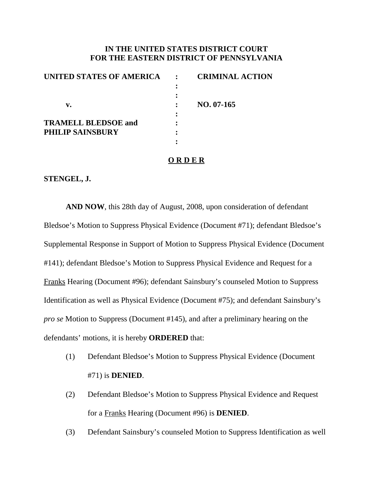# **IN THE UNITED STATES DISTRICT COURT FOR THE EASTERN DISTRICT OF PENNSYLVANIA**

| UNITED STATES OF AMERICA   | <b>CRIMINAL ACTION</b> |
|----------------------------|------------------------|
|                            |                        |
|                            |                        |
| v.                         | $NO. 07-165$           |
|                            |                        |
| <b>TRAMELL BLEDSOE and</b> |                        |
| <b>PHILIP SAINSBURY</b>    |                        |
|                            |                        |
|                            |                        |

## **O R D E R**

## **STENGEL, J.**

**AND NOW**, this 28th day of August, 2008, upon consideration of defendant Bledsoe's Motion to Suppress Physical Evidence (Document #71); defendant Bledsoe's Supplemental Response in Support of Motion to Suppress Physical Evidence (Document #141); defendant Bledsoe's Motion to Suppress Physical Evidence and Request for a Franks Hearing (Document #96); defendant Sainsbury's counseled Motion to Suppress Identification as well as Physical Evidence (Document #75); and defendant Sainsbury's *pro se* Motion to Suppress (Document #145), and after a preliminary hearing on the defendants' motions, it is hereby **ORDERED** that:

- (1) Defendant Bledsoe's Motion to Suppress Physical Evidence (Document #71) is **DENIED**.
- (2) Defendant Bledsoe's Motion to Suppress Physical Evidence and Request for a Franks Hearing (Document #96) is **DENIED**.
- (3) Defendant Sainsbury's counseled Motion to Suppress Identification as well